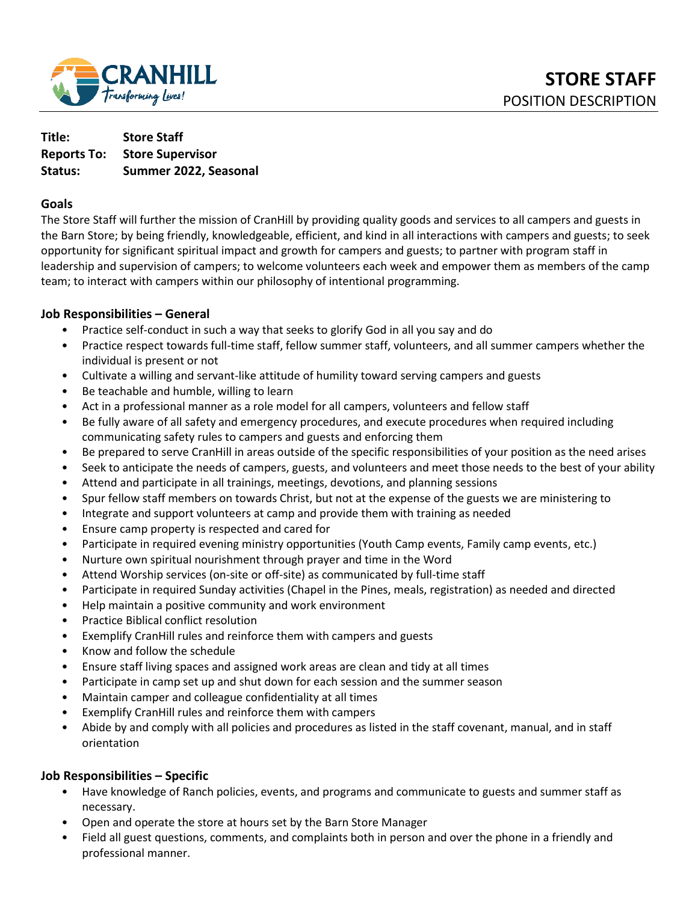

| Title:  | <b>Store Staff</b>                  |
|---------|-------------------------------------|
|         | <b>Reports To: Store Supervisor</b> |
| Status: | Summer 2022, Seasonal               |

#### **Goals**

The Store Staff will further the mission of CranHill by providing quality goods and services to all campers and guests in the Barn Store; by being friendly, knowledgeable, efficient, and kind in all interactions with campers and guests; to seek opportunity for significant spiritual impact and growth for campers and guests; to partner with program staff in leadership and supervision of campers; to welcome volunteers each week and empower them as members of the camp team; to interact with campers within our philosophy of intentional programming.

#### **Job Responsibilities – General**

- Practice self-conduct in such a way that seeks to glorify God in all you say and do
- Practice respect towards full-time staff, fellow summer staff, volunteers, and all summer campers whether the individual is present or not
- Cultivate a willing and servant-like attitude of humility toward serving campers and guests
- Be teachable and humble, willing to learn
- Act in a professional manner as a role model for all campers, volunteers and fellow staff
- Be fully aware of all safety and emergency procedures, and execute procedures when required including communicating safety rules to campers and guests and enforcing them
- Be prepared to serve CranHill in areas outside of the specific responsibilities of your position as the need arises
- Seek to anticipate the needs of campers, guests, and volunteers and meet those needs to the best of your ability
- Attend and participate in all trainings, meetings, devotions, and planning sessions
- Spur fellow staff members on towards Christ, but not at the expense of the guests we are ministering to
- Integrate and support volunteers at camp and provide them with training as needed
- Ensure camp property is respected and cared for
- Participate in required evening ministry opportunities (Youth Camp events, Family camp events, etc.)
- Nurture own spiritual nourishment through prayer and time in the Word
- Attend Worship services (on-site or off-site) as communicated by full-time staff
- Participate in required Sunday activities (Chapel in the Pines, meals, registration) as needed and directed
- Help maintain a positive community and work environment
- Practice Biblical conflict resolution
- Exemplify CranHill rules and reinforce them with campers and guests
- Know and follow the schedule
- Ensure staff living spaces and assigned work areas are clean and tidy at all times
- Participate in camp set up and shut down for each session and the summer season
- Maintain camper and colleague confidentiality at all times
- Exemplify CranHill rules and reinforce them with campers
- Abide by and comply with all policies and procedures as listed in the staff covenant, manual, and in staff orientation

### **Job Responsibilities – Specific**

- Have knowledge of Ranch policies, events, and programs and communicate to guests and summer staff as necessary.
- Open and operate the store at hours set by the Barn Store Manager
- Field all guest questions, comments, and complaints both in person and over the phone in a friendly and professional manner.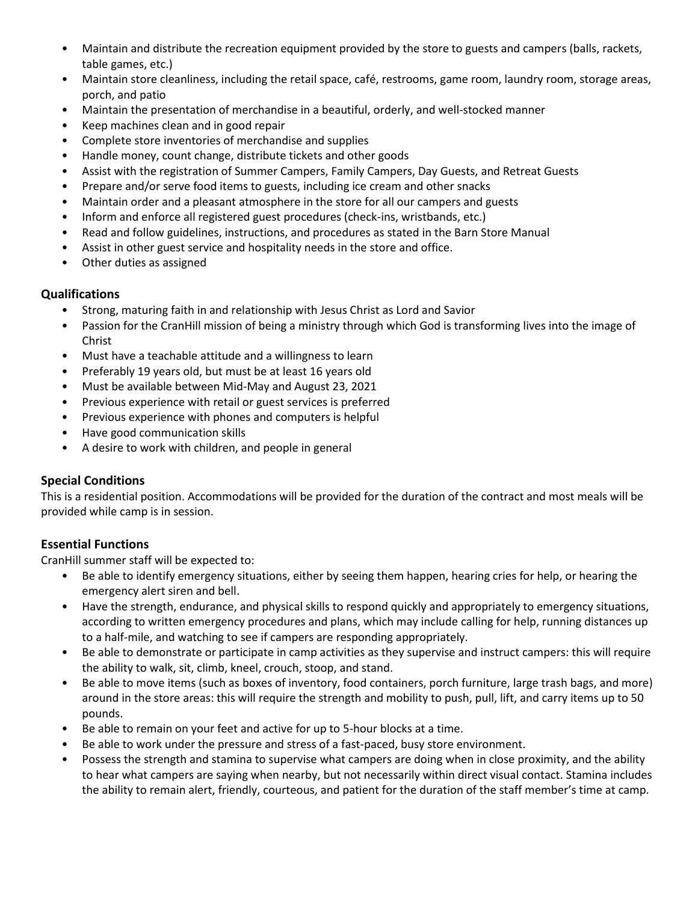- Maintain and distribute the recreation equipment provided by the store to guests and campers (balls, rackets, table games, etc.)
- Maintain store cleanliness, including the retail space, café, restrooms, game room, laundry room, storage areas, porch, and patio
- Maintain the presentation of merchandise in a beautiful, orderly, and well-stocked manner
- Keep machines clean and in good repair
- Complete store inventories of merchandise and supplies
- Handle money, count change, distribute tickets and other goods
- Assist with the registration of Summer Campers, Family Campers, Day Guests, and Retreat Guests
- Prepare and/or serve food items to guests, including ice cream and other snacks
- Maintain order and a pleasant atmosphere in the store for all our campers and guests
- Inform and enforce all registered guest procedures (check-ins, wristbands, etc.)
- Read and follow guidelines, instructions, and procedures as stated in the Barn Store Manual
- Assist in other guest service and hospitality needs in the store and office.
- Other duties as assigned

## **Qualifications**

- Strong, maturing faith in and relationship with Jesus Christ as Lord and Savior
- Passion for the CranHill mission of being a ministry through which God is transforming lives into the image of Christ
- Must have a teachable attitude and a willingness to learn
- Preferably 19 years old, but must be at least 16 years old
- Must be available between Mid-May and August 23, 2021
- Previous experience with retail or guest services is preferred
- Previous experience with phones and computers is helpful
- Have good communication skills
- A desire to work with children, and people in general

# **Special Conditions**

This is a residential position. Accommodations will be provided for the duration of the contract and most meals will be provided while camp is in session.

# **Essential Functions**

CranHill summer staff will be expected to:

- Be able to identify emergency situations, either by seeing them happen, hearing cries for help, or hearing the emergency alert siren and bell.
- Have the strength, endurance, and physical skills to respond quickly and appropriately to emergency situations, according to written emergency procedures and plans, which may include calling for help, running distances up to a half-mile, and watching to see if campers are responding appropriately.
- Be able to demonstrate or participate in camp activities as they supervise and instruct campers: this will require the ability to walk, sit, climb, kneel, crouch, stoop, and stand.
- Be able to move items (such as boxes of inventory, food containers, porch furniture, large trash bags, and more) around in the store areas: this will require the strength and mobility to push, pull, lift, and carry items up to 50 pounds.
- Be able to remain on your feet and active for up to 5-hour blocks at a time.
- Be able to work under the pressure and stress of a fast-paced, busy store environment.
- Possess the strength and stamina to supervise what campers are doing when in close proximity, and the ability to hear what campers are saying when nearby, but not necessarily within direct visual contact. Stamina includes the ability to remain alert, friendly, courteous, and patient for the duration of the staff member's time at camp.